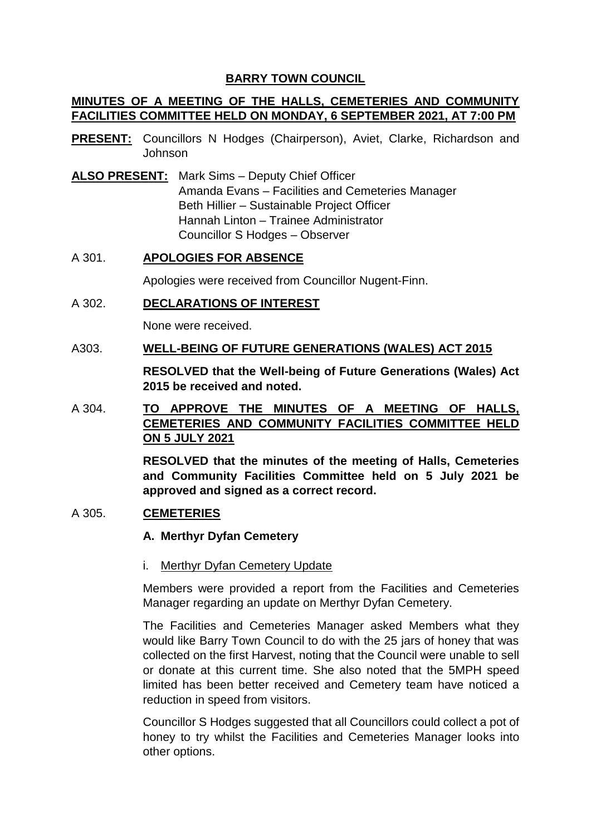# **BARRY TOWN COUNCIL**

# **MINUTES OF A MEETING OF THE HALLS, CEMETERIES AND COMMUNITY FACILITIES COMMITTEE HELD ON MONDAY, 6 SEPTEMBER 2021, AT 7:00 PM**

- **PRESENT:** Councillors N Hodges (Chairperson), Aviet, Clarke, Richardson and Johnson
- **ALSO PRESENT:** Mark Sims Deputy Chief Officer Amanda Evans – Facilities and Cemeteries Manager Beth Hillier – Sustainable Project Officer Hannah Linton – Trainee Administrator Councillor S Hodges – Observer

## A 301. **APOLOGIES FOR ABSENCE**

Apologies were received from Councillor Nugent-Finn.

## A 302. **DECLARATIONS OF INTEREST**

None were received.

#### A303. **WELL-BEING OF FUTURE GENERATIONS (WALES) ACT 2015**

**RESOLVED that the Well-being of Future Generations (Wales) Act 2015 be received and noted.** 

# A 304. **TO APPROVE THE MINUTES OF A MEETING OF HALLS, CEMETERIES AND COMMUNITY FACILITIES COMMITTEE HELD ON 5 JULY 2021**

**RESOLVED that the minutes of the meeting of Halls, Cemeteries and Community Facilities Committee held on 5 July 2021 be approved and signed as a correct record.** 

## A 305. **CEMETERIES**

#### **A. Merthyr Dyfan Cemetery**

#### i. Merthyr Dyfan Cemetery Update

Members were provided a report from the Facilities and Cemeteries Manager regarding an update on Merthyr Dyfan Cemetery.

The Facilities and Cemeteries Manager asked Members what they would like Barry Town Council to do with the 25 jars of honey that was collected on the first Harvest, noting that the Council were unable to sell or donate at this current time. She also noted that the 5MPH speed limited has been better received and Cemetery team have noticed a reduction in speed from visitors.

Councillor S Hodges suggested that all Councillors could collect a pot of honey to try whilst the Facilities and Cemeteries Manager looks into other options.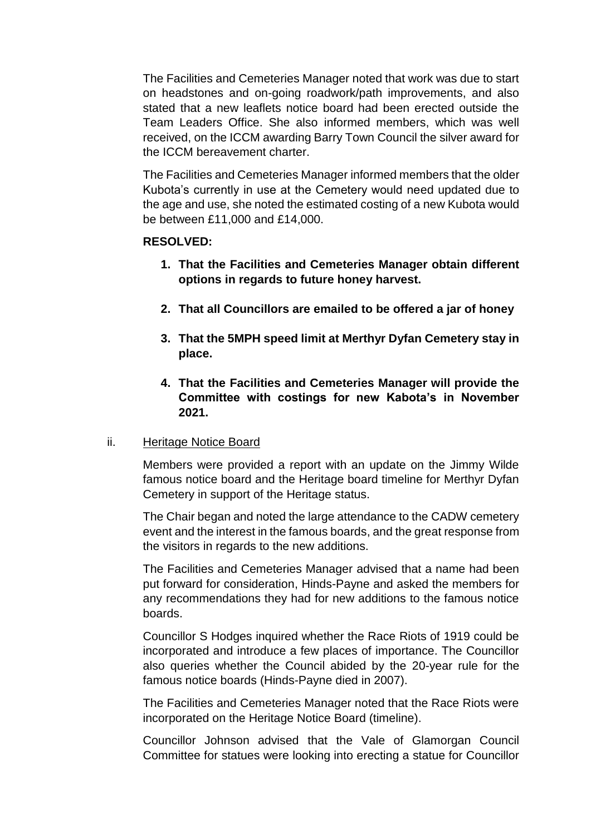The Facilities and Cemeteries Manager noted that work was due to start on headstones and on-going roadwork/path improvements, and also stated that a new leaflets notice board had been erected outside the Team Leaders Office. She also informed members, which was well received, on the ICCM awarding Barry Town Council the silver award for the ICCM bereavement charter.

The Facilities and Cemeteries Manager informed members that the older Kubota's currently in use at the Cemetery would need updated due to the age and use, she noted the estimated costing of a new Kubota would be between £11,000 and £14,000.

#### **RESOLVED:**

- **1. That the Facilities and Cemeteries Manager obtain different options in regards to future honey harvest.**
- **2. That all Councillors are emailed to be offered a jar of honey**
- **3. That the 5MPH speed limit at Merthyr Dyfan Cemetery stay in place.**
- **4. That the Facilities and Cemeteries Manager will provide the Committee with costings for new Kabota's in November 2021.**

## ii. Heritage Notice Board

Members were provided a report with an update on the Jimmy Wilde famous notice board and the Heritage board timeline for Merthyr Dyfan Cemetery in support of the Heritage status.

The Chair began and noted the large attendance to the CADW cemetery event and the interest in the famous boards, and the great response from the visitors in regards to the new additions.

The Facilities and Cemeteries Manager advised that a name had been put forward for consideration, Hinds-Payne and asked the members for any recommendations they had for new additions to the famous notice boards.

Councillor S Hodges inquired whether the Race Riots of 1919 could be incorporated and introduce a few places of importance. The Councillor also queries whether the Council abided by the 20-year rule for the famous notice boards (Hinds-Payne died in 2007).

The Facilities and Cemeteries Manager noted that the Race Riots were incorporated on the Heritage Notice Board (timeline).

Councillor Johnson advised that the Vale of Glamorgan Council Committee for statues were looking into erecting a statue for Councillor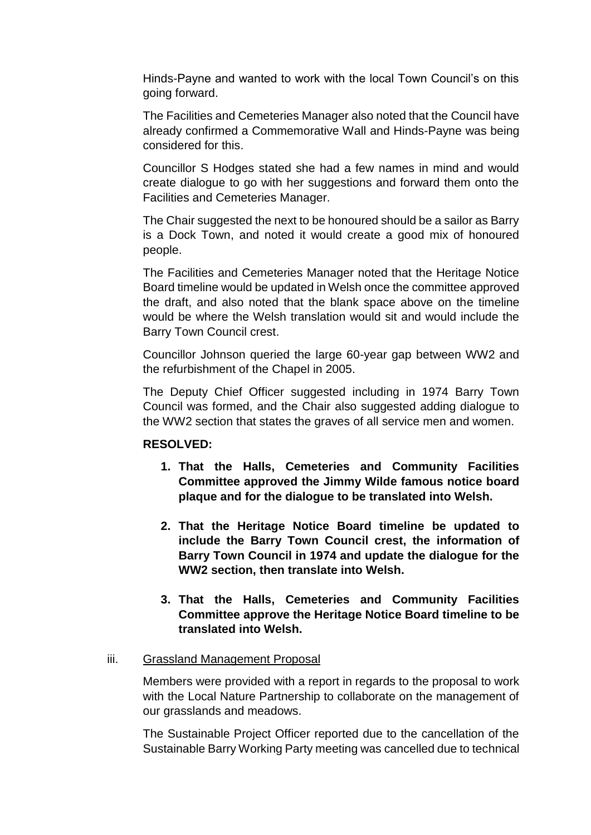Hinds-Payne and wanted to work with the local Town Council's on this going forward.

The Facilities and Cemeteries Manager also noted that the Council have already confirmed a Commemorative Wall and Hinds-Payne was being considered for this.

Councillor S Hodges stated she had a few names in mind and would create dialogue to go with her suggestions and forward them onto the Facilities and Cemeteries Manager.

The Chair suggested the next to be honoured should be a sailor as Barry is a Dock Town, and noted it would create a good mix of honoured people.

The Facilities and Cemeteries Manager noted that the Heritage Notice Board timeline would be updated in Welsh once the committee approved the draft, and also noted that the blank space above on the timeline would be where the Welsh translation would sit and would include the Barry Town Council crest.

Councillor Johnson queried the large 60-year gap between WW2 and the refurbishment of the Chapel in 2005.

The Deputy Chief Officer suggested including in 1974 Barry Town Council was formed, and the Chair also suggested adding dialogue to the WW2 section that states the graves of all service men and women.

## **RESOLVED:**

- **1. That the Halls, Cemeteries and Community Facilities Committee approved the Jimmy Wilde famous notice board plaque and for the dialogue to be translated into Welsh.**
- **2. That the Heritage Notice Board timeline be updated to include the Barry Town Council crest, the information of Barry Town Council in 1974 and update the dialogue for the WW2 section, then translate into Welsh.**
- **3. That the Halls, Cemeteries and Community Facilities Committee approve the Heritage Notice Board timeline to be translated into Welsh.**

#### iii. Grassland Management Proposal

Members were provided with a report in regards to the proposal to work with the Local Nature Partnership to collaborate on the management of our grasslands and meadows.

The Sustainable Project Officer reported due to the cancellation of the Sustainable Barry Working Party meeting was cancelled due to technical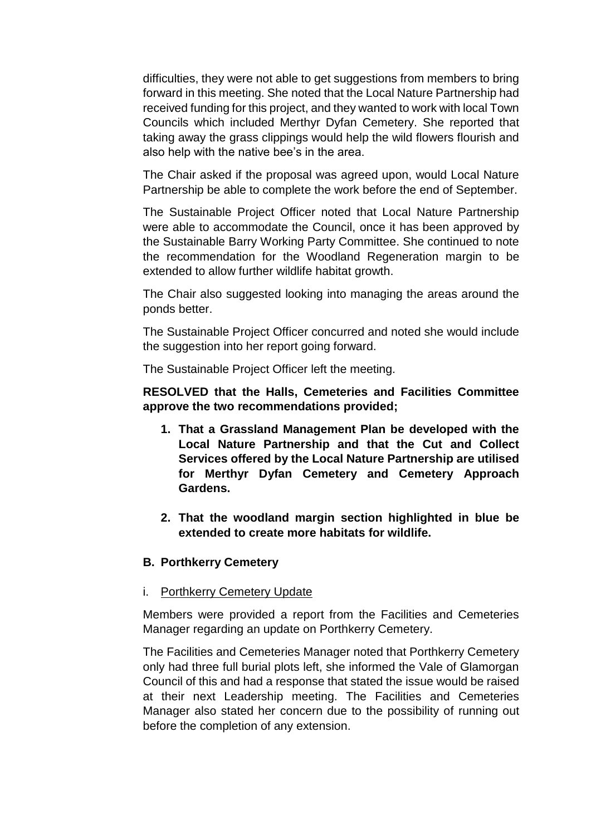difficulties, they were not able to get suggestions from members to bring forward in this meeting. She noted that the Local Nature Partnership had received funding for this project, and they wanted to work with local Town Councils which included Merthyr Dyfan Cemetery. She reported that taking away the grass clippings would help the wild flowers flourish and also help with the native bee's in the area.

The Chair asked if the proposal was agreed upon, would Local Nature Partnership be able to complete the work before the end of September.

The Sustainable Project Officer noted that Local Nature Partnership were able to accommodate the Council, once it has been approved by the Sustainable Barry Working Party Committee. She continued to note the recommendation for the Woodland Regeneration margin to be extended to allow further wildlife habitat growth.

The Chair also suggested looking into managing the areas around the ponds better.

The Sustainable Project Officer concurred and noted she would include the suggestion into her report going forward.

The Sustainable Project Officer left the meeting.

**RESOLVED that the Halls, Cemeteries and Facilities Committee approve the two recommendations provided;**

- **1. That a Grassland Management Plan be developed with the Local Nature Partnership and that the Cut and Collect Services offered by the Local Nature Partnership are utilised for Merthyr Dyfan Cemetery and Cemetery Approach Gardens.**
- **2. That the woodland margin section highlighted in blue be extended to create more habitats for wildlife.**

#### **B. Porthkerry Cemetery**

#### i. Porthkerry Cemetery Update

Members were provided a report from the Facilities and Cemeteries Manager regarding an update on Porthkerry Cemetery.

The Facilities and Cemeteries Manager noted that Porthkerry Cemetery only had three full burial plots left, she informed the Vale of Glamorgan Council of this and had a response that stated the issue would be raised at their next Leadership meeting. The Facilities and Cemeteries Manager also stated her concern due to the possibility of running out before the completion of any extension.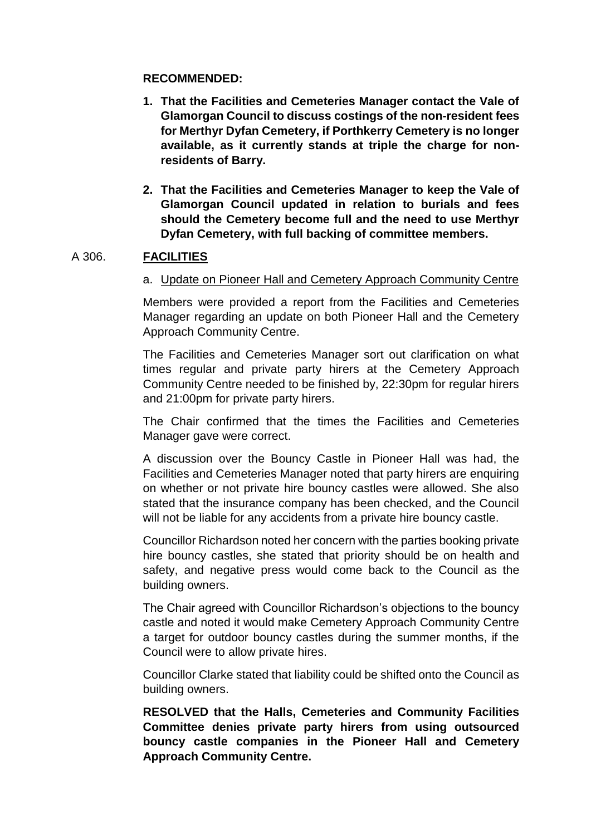#### **RECOMMENDED:**

- **1. That the Facilities and Cemeteries Manager contact the Vale of Glamorgan Council to discuss costings of the non-resident fees for Merthyr Dyfan Cemetery, if Porthkerry Cemetery is no longer available, as it currently stands at triple the charge for nonresidents of Barry.**
- **2. That the Facilities and Cemeteries Manager to keep the Vale of Glamorgan Council updated in relation to burials and fees should the Cemetery become full and the need to use Merthyr Dyfan Cemetery, with full backing of committee members.**

#### A 306. **FACILITIES**

#### a. Update on Pioneer Hall and Cemetery Approach Community Centre

Members were provided a report from the Facilities and Cemeteries Manager regarding an update on both Pioneer Hall and the Cemetery Approach Community Centre.

The Facilities and Cemeteries Manager sort out clarification on what times regular and private party hirers at the Cemetery Approach Community Centre needed to be finished by, 22:30pm for regular hirers and 21:00pm for private party hirers.

The Chair confirmed that the times the Facilities and Cemeteries Manager gave were correct.

A discussion over the Bouncy Castle in Pioneer Hall was had, the Facilities and Cemeteries Manager noted that party hirers are enquiring on whether or not private hire bouncy castles were allowed. She also stated that the insurance company has been checked, and the Council will not be liable for any accidents from a private hire bouncy castle.

Councillor Richardson noted her concern with the parties booking private hire bouncy castles, she stated that priority should be on health and safety, and negative press would come back to the Council as the building owners.

The Chair agreed with Councillor Richardson's objections to the bouncy castle and noted it would make Cemetery Approach Community Centre a target for outdoor bouncy castles during the summer months, if the Council were to allow private hires.

Councillor Clarke stated that liability could be shifted onto the Council as building owners.

**RESOLVED that the Halls, Cemeteries and Community Facilities Committee denies private party hirers from using outsourced bouncy castle companies in the Pioneer Hall and Cemetery Approach Community Centre.**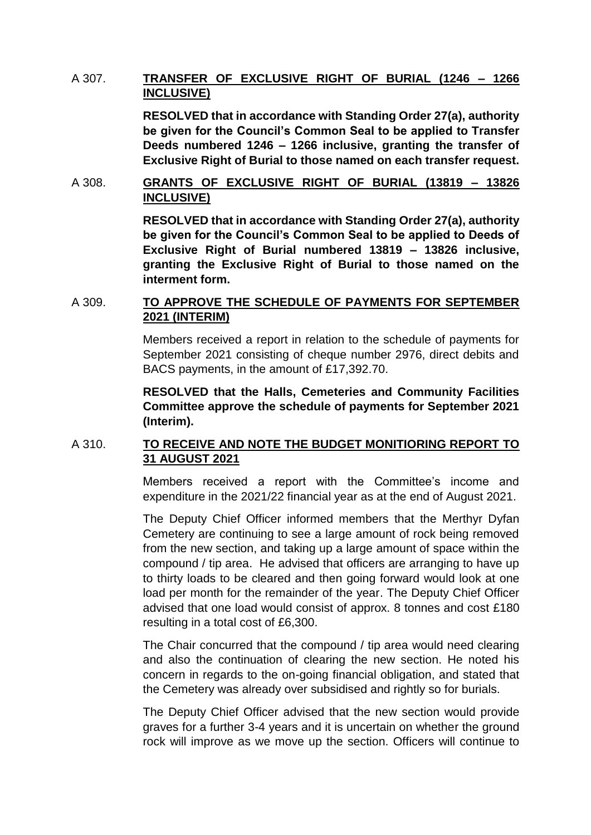# A 307. **TRANSFER OF EXCLUSIVE RIGHT OF BURIAL (1246 – 1266 INCLUSIVE)**

**RESOLVED that in accordance with Standing Order 27(a), authority be given for the Council's Common Seal to be applied to Transfer Deeds numbered 1246 – 1266 inclusive, granting the transfer of Exclusive Right of Burial to those named on each transfer request.**

## A 308. **GRANTS OF EXCLUSIVE RIGHT OF BURIAL (13819 – 13826 INCLUSIVE)**

**RESOLVED that in accordance with Standing Order 27(a), authority be given for the Council's Common Seal to be applied to Deeds of Exclusive Right of Burial numbered 13819 – 13826 inclusive, granting the Exclusive Right of Burial to those named on the interment form.** 

# A 309. **TO APPROVE THE SCHEDULE OF PAYMENTS FOR SEPTEMBER 2021 (INTERIM)**

Members received a report in relation to the schedule of payments for September 2021 consisting of cheque number 2976, direct debits and BACS payments, in the amount of £17,392.70.

**RESOLVED that the Halls, Cemeteries and Community Facilities Committee approve the schedule of payments for September 2021 (Interim).** 

## A 310. **TO RECEIVE AND NOTE THE BUDGET MONITIORING REPORT TO 31 AUGUST 2021**

Members received a report with the Committee's income and expenditure in the 2021/22 financial year as at the end of August 2021.

The Deputy Chief Officer informed members that the Merthyr Dyfan Cemetery are continuing to see a large amount of rock being removed from the new section, and taking up a large amount of space within the compound / tip area. He advised that officers are arranging to have up to thirty loads to be cleared and then going forward would look at one load per month for the remainder of the year. The Deputy Chief Officer advised that one load would consist of approx. 8 tonnes and cost £180 resulting in a total cost of £6,300.

The Chair concurred that the compound / tip area would need clearing and also the continuation of clearing the new section. He noted his concern in regards to the on-going financial obligation, and stated that the Cemetery was already over subsidised and rightly so for burials.

The Deputy Chief Officer advised that the new section would provide graves for a further 3-4 years and it is uncertain on whether the ground rock will improve as we move up the section. Officers will continue to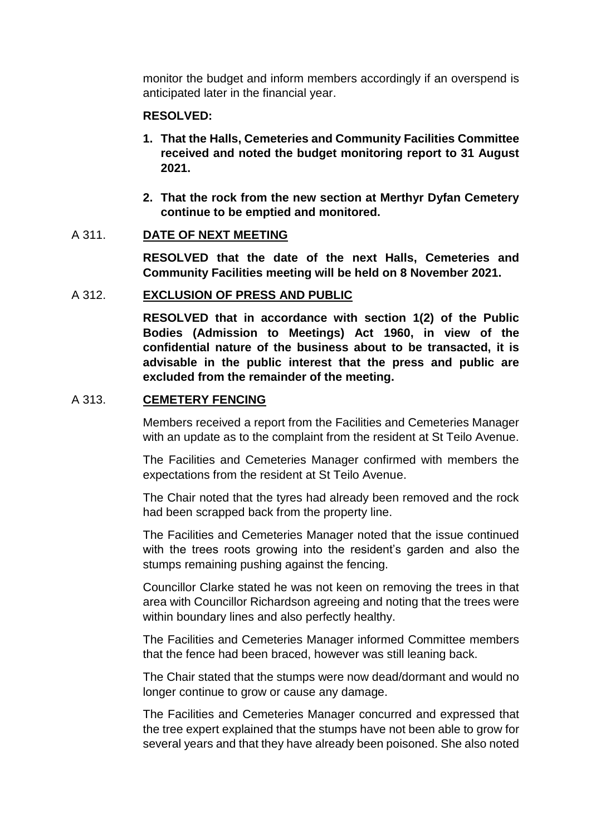monitor the budget and inform members accordingly if an overspend is anticipated later in the financial year.

#### **RESOLVED:**

- **1. That the Halls, Cemeteries and Community Facilities Committee received and noted the budget monitoring report to 31 August 2021.**
- **2. That the rock from the new section at Merthyr Dyfan Cemetery continue to be emptied and monitored.**

#### A 311. **DATE OF NEXT MEETING**

**RESOLVED that the date of the next Halls, Cemeteries and Community Facilities meeting will be held on 8 November 2021.** 

#### A 312. **EXCLUSION OF PRESS AND PUBLIC**

**RESOLVED that in accordance with section 1(2) of the Public Bodies (Admission to Meetings) Act 1960, in view of the confidential nature of the business about to be transacted, it is advisable in the public interest that the press and public are excluded from the remainder of the meeting.** 

#### A 313. **CEMETERY FENCING**

Members received a report from the Facilities and Cemeteries Manager with an update as to the complaint from the resident at St Teilo Avenue.

The Facilities and Cemeteries Manager confirmed with members the expectations from the resident at St Teilo Avenue.

The Chair noted that the tyres had already been removed and the rock had been scrapped back from the property line.

The Facilities and Cemeteries Manager noted that the issue continued with the trees roots growing into the resident's garden and also the stumps remaining pushing against the fencing.

Councillor Clarke stated he was not keen on removing the trees in that area with Councillor Richardson agreeing and noting that the trees were within boundary lines and also perfectly healthy.

The Facilities and Cemeteries Manager informed Committee members that the fence had been braced, however was still leaning back.

The Chair stated that the stumps were now dead/dormant and would no longer continue to grow or cause any damage.

The Facilities and Cemeteries Manager concurred and expressed that the tree expert explained that the stumps have not been able to grow for several years and that they have already been poisoned. She also noted